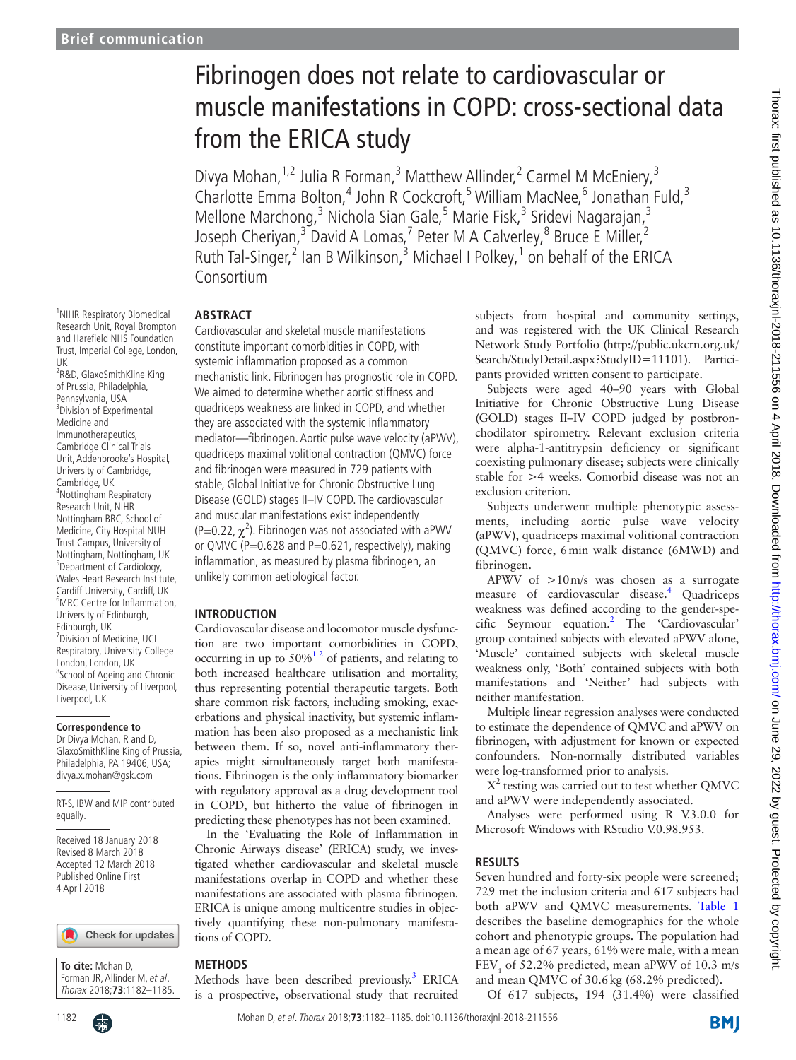<sup>1</sup>NIHR Respiratory Biomedical Research Unit, Royal Brompton and Harefield NHS Foundation Trust, Imperial College, London,

<sup>2</sup>R&D, GlaxoSmithKline King of Prussia, Philadelphia, Pennsylvania, USA <sup>3</sup> Division of Experimental Medicine and Immunotherapeutics, Cambridge Clinical Trials Unit, Addenbrooke's Hospital, University of Cambridge, Cambridge, UK 4 Nottingham Respiratory Research Unit, NIHR Nottingham BRC, School of Medicine, City Hospital NUH Trust Campus, University of Nottingham, Nottingham, UK <sup>5</sup>Department of Cardiology, Wales Heart Research Institute, Cardiff University, Cardiff, UK 6 MRC Centre for Inflammation, University of Edinburgh, Edinburgh, UK

7 Division of Medicine, UCL Respiratory, University College London, London, UK <sup>8</sup>School of Ageing and Chronic Disease, University of Liverpool,

Liverpool, UK

equally.

**Correspondence to** Dr Divya Mohan, R and D, GlaxoSmithKline King of Prussia, Philadelphia, PA 19406, USA; divya.x.mohan@gsk.com

RT-S, IBW and MIP contributed

Received 18 January 2018 Revised 8 March 2018 Accepted 12 March 2018 Published Online First 4 April 2018

UK

# Fibrinogen does not relate to cardiovascular or muscle manifestations in COPD: cross-sectional data from the ERICA study

Divya Mohan,<sup>1,2</sup> Julia R Forman,<sup>3</sup> Matthew Allinder,<sup>2</sup> Carmel M McEniery,<sup>3</sup> Charlotte Emma Bolton,<sup>4</sup> John R Cockcroft,<sup>5</sup> William MacNee,<sup>6</sup> Jonathan Fuld,<sup>3</sup> Mellone Marchong,<sup>3</sup> Nichola Sian Gale,<sup>5</sup> Marie Fisk,<sup>3</sup> Sridevi Nagarajan,<sup>3</sup> Joseph Cheriyan,<sup>3</sup> David A Lomas,<sup>7</sup> Peter M A Calverley,<sup>8</sup> Bruce E Miller,<sup>2</sup> Ruth Tal-Singer,<sup>2</sup> Ian B Wilkinson,<sup>3</sup> Michael I Polkey,<sup>1</sup> on behalf of the ERICA Consortium

#### **Abstract**

Cardiovascular and skeletal muscle manifestations constitute important comorbidities in COPD, with systemic inflammation proposed as a common mechanistic link. Fibrinogen has prognostic role in COPD. We aimed to determine whether aortic stiffness and quadriceps weakness are linked in COPD, and whether they are associated with the systemic inflammatory mediator—fibrinogen. Aortic pulse wave velocity (aPWV), quadriceps maximal volitional contraction (QMVC) force and fibrinogen were measured in 729 patients with stable, Global Initiative for Chronic Obstructive Lung Disease (GOLD) stages II–IV COPD. The cardiovascular and muscular manifestations exist independently  $($ P=0.22,  $\chi^2$ ). Fibrinogen was not associated with aPWV or QMVC (P=0.628 and P=0.621, respectively), making inflammation, as measured by plasma fibrinogen, an unlikely common aetiological factor.

## **Introduction**

Cardiovascular disease and locomotor muscle dysfunction are two important comorbidities in COPD, occurring in up to  $50\%$ <sup>12</sup> of patients, and relating to both increased healthcare utilisation and mortality, thus representing potential therapeutic targets. Both share common risk factors, including smoking, exacerbations and physical inactivity, but systemic inflammation has been also proposed as a mechanistic link between them. If so, novel anti-inflammatory therapies might simultaneously target both manifestations. Fibrinogen is the only inflammatory biomarker with regulatory approval as a drug development tool in COPD, but hitherto the value of fibrinogen in predicting these phenotypes has not been examined.

In the 'Evaluating the Role of Inflammation in Chronic Airways disease' (ERICA) study, we investigated whether cardiovascular and skeletal muscle manifestations overlap in COPD and whether these manifestations are associated with plasma fibrinogen. ERICA is unique among multicentre studies in objectively quantifying these non-pulmonary manifestations of COPD.

## **Methods**

Methods have been described previously.<sup>3</sup> ERICA is a prospective, observational study that recruited

subjects from hospital and community settings, and was registered with the UK Clinical Research Network Study Portfolio [\(http://public.ukcrn.org.uk/](http://public.ukcrn.org.uk/Search/StudyDetail.aspx?StudyID=11101) [Search/StudyDetail.aspx?StudyID=11101\)](http://public.ukcrn.org.uk/Search/StudyDetail.aspx?StudyID=11101). Participants provided written consent to participate.

Subjects were aged 40–90 years with Global Initiative for Chronic Obstructive Lung Disease (GOLD) stages II–IV COPD judged by postbronchodilator spirometry. Relevant exclusion criteria were alpha-1-antitrypsin deficiency or significant coexisting pulmonary disease; subjects were clinically stable for >4 weeks. Comorbid disease was not an exclusion criterion.

Subjects underwent multiple phenotypic assessments, including aortic pulse wave velocity (aPWV), quadriceps maximal volitional contraction (QMVC) force, 6min walk distance (6MWD) and fibrinogen.

APWV of >10m/s was chosen as a surrogate measure of cardiovascular disease[.4](#page-3-2) Quadriceps weakness was defined according to the gender-specific Seymour equation.[2](#page-3-3) The 'Cardiovascular' group contained subjects with elevated aPWV alone, 'Muscle' contained subjects with skeletal muscle weakness only, 'Both' contained subjects with both manifestations and 'Neither' had subjects with neither manifestation.

Multiple linear regression analyses were conducted to estimate the dependence of QMVC and aPWV on fibrinogen, with adjustment for known or expected confounders. Non-normally distributed variables were log-transformed prior to analysis.

X<sup>2</sup> testing was carried out to test whether QMVC and aPWV were independently associated.

Analyses were performed using R V.3.0.0 for Microsoft Windows with RStudio V.0.98.953.

## **Results**

Seven hundred and forty-six people were screened; 729 met the inclusion criteria and 617 subjects had both aPWV and QMVC measurements. [Table](#page-1-0) 1 describes the baseline demographics for the whole cohort and phenotypic groups. The population had a mean age of 67 years, 61% were male, with a mean  $FEV<sub>1</sub>$  of 52.2% predicted, mean aPWV of 10.3 m/s and mean QMVC of 30.6kg (68.2% predicted).

Of 617 subjects, 194 (31.4%) were classified

**To cite:** Mohan D, Forman JR, Allinder M, et al. Thorax 2018;**73**:1182–1185.

Check for updates

1182 **Computer Contract Contract Mohan D**, et al. Thorax 2018;**73**:1182–1185. doi:10.1136/thoraxjnl-2018-211556

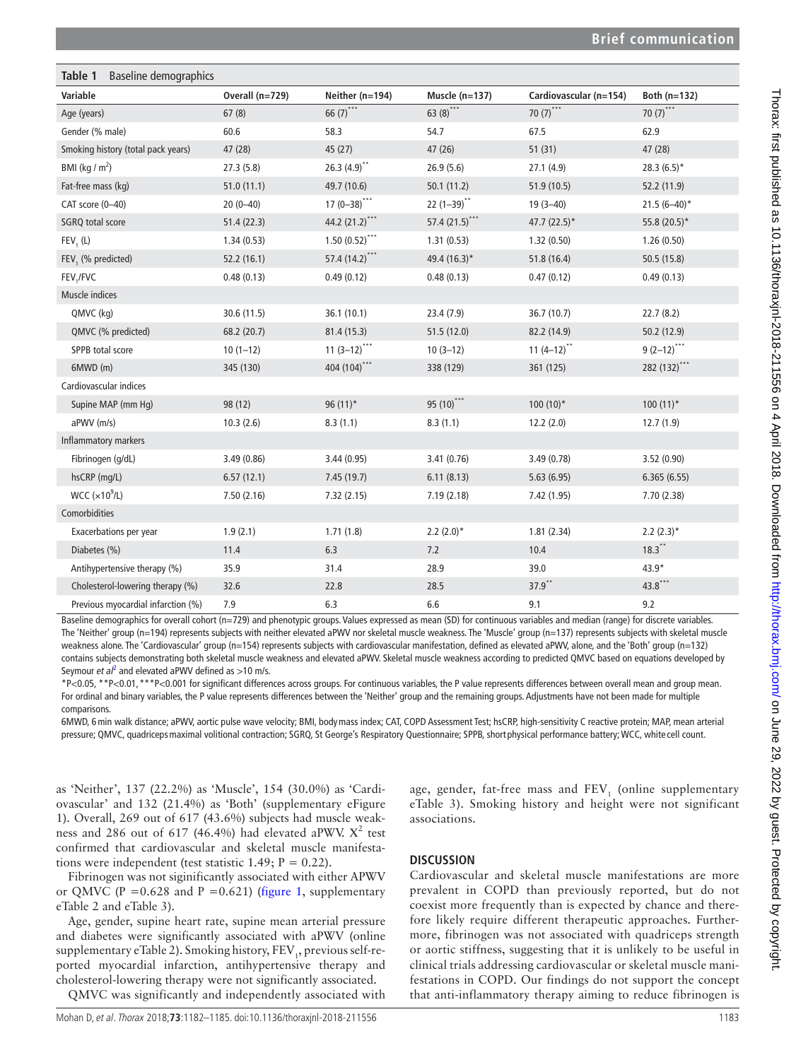<span id="page-1-0"></span>

| Table 1<br>Baseline demographics   |                 |                  |                   |                        |                |
|------------------------------------|-----------------|------------------|-------------------|------------------------|----------------|
| Variable                           | Overall (n=729) | Neither (n=194)  | Muscle $(n=137)$  | Cardiovascular (n=154) | Both $(n=132)$ |
| Age (years)                        | 67(8)           | 66 $(7)$ ***     | 63 $(8)$ ***      | 70 $(7)^{***}$         | 70 $(7)^{***}$ |
| Gender (% male)                    | 60.6            | 58.3             | 54.7              | 67.5                   | 62.9           |
| Smoking history (total pack years) | 47 (28)         | 45 (27)          | 47(26)            | 51(31)                 | 47 (28)        |
| BMI ( $\text{kg}/\text{m}^2$ )     | 27.3(5.8)       | $26.3(4.9)^{4}$  | 26.9(5.6)         | 27.1(4.9)              | $28.3(6.5)$ *  |
| Fat-free mass (kg)                 | 51.0(11.1)      | 49.7 (10.6)      | 50.1(11.2)        | 51.9 (10.5)            | 52.2 (11.9)    |
| CAT score (0-40)                   | $20(0-40)$      | $17(0-38)$ ***   | $22(1-39)$ **     | $19(3 - 40)$           | $21.5(6-40)^*$ |
| SGRQ total score                   | 51.4(22.3)      | 44.2 (21.2)***   | 57.4 $(21.5)$ *** | 47.7 $(22.5)^*$        | 55.8 (20.5)*   |
| $FEV1$ (L)                         | 1.34(0.53)      | $1.50(0.52)$ *** | 1.31(0.53)        | 1.32(0.50)             | 1.26(0.50)     |
| FEV, (% predicted)                 | 52.2 (16.1)     | 57.4 (14.2)***   | 49.4 (16.3)*      | 51.8 (16.4)            | 50.5 (15.8)    |
| FEV,/FVC                           | 0.48(0.13)      | 0.49(0.12)       | 0.48(0.13)        | 0.47(0.12)             | 0.49(0.13)     |
| Muscle indices                     |                 |                  |                   |                        |                |
| QMVC (kg)                          | 30.6 (11.5)     | 36.1 (10.1)      | 23.4 (7.9)        | 36.7 (10.7)            | 22.7(8.2)      |
| QMVC (% predicted)                 | 68.2 (20.7)     | 81.4 (15.3)      | 51.5(12.0)        | 82.2 (14.9)            | 50.2 (12.9)    |
| SPPB total score                   | $10(1-12)$      | $11(3-12)$ ***   | $10(3-12)$        | $11(4-12)^{**}$        | $9(2-12)$ ***  |
| 6MWD (m)                           | 345 (130)       | 404 (104)***     | 338 (129)         | 361 (125)              | 282 (132)***   |
| Cardiovascular indices             |                 |                  |                   |                        |                |
| Supine MAP (mm Hq)                 | 98 (12)         | $96(11)^*$       | 95 (10)***        | $100(10)*$             | $100(11)^*$    |
| aPWV (m/s)                         | 10.3(2.6)       | 8.3(1.1)         | 8.3(1.1)          | 12.2(2.0)              | 12.7(1.9)      |
| Inflammatory markers               |                 |                  |                   |                        |                |
| Fibrinogen (g/dL)                  | 3.49(0.86)      | 3.44(0.95)       | 3.41(0.76)        | 3.49(0.78)             | 3.52 (0.90)    |
| hsCRP (mg/L)                       | 6.57(12.1)      | 7.45 (19.7)      | 6.11(8.13)        | 5.63(6.95)             | 6.365(6.55)    |
| WCC $(x10^9/L)$                    | 7.50(2.16)      | 7.32(2.15)       | 7.19(2.18)        | 7.42 (1.95)            | 7.70(2.38)     |
| Comorbidities                      |                 |                  |                   |                        |                |
| Exacerbations per year             | 1.9(2.1)        | 1.71(1.8)        | $2.2(2.0)*$       | 1.81(2.34)             | $2.2(2.3)$ *   |
| Diabetes (%)                       | 11.4            | 6.3              | 7.2               | 10.4                   | $18.3$ **      |
| Antihypertensive therapy (%)       | 35.9            | 31.4             | 28.9              | 39.0                   | $43.9*$        |
| Cholesterol-lowering therapy (%)   | 32.6            | 22.8             | 28.5              | $37.9$ **              | 43.8***        |
| Previous myocardial infarction (%) | 7.9             | 6.3              | 6.6               | 9.1                    | 9.2            |

Baseline demographics for overall cohort (n=729) and phenotypic groups. Values expressed as mean (SD) for continuous variables and median (range) for discrete variables. The 'Neither' group (n=194) represents subjects with neither elevated aPWV nor skeletal muscle weakness. The 'Muscle' group (n=137) represents subjects with skeletal muscle weakness alone. The 'Cardiovascular' group (n=154) represents subjects with cardiovascular manifestation, defined as elevated aPWV, alone, and the 'Both' group (n=132) contains subjects demonstrating both skeletal muscle weakness and elevated aPWV. Skeletal muscle weakness according to predicted QMVC based on equations developed by Seymour *et al*<sup>[2](#page-3-3)</sup> and elevated aPWV defined as >10 m/s.

\*P<0.05, \*\*P<0.01,\*\*\*P<0.001 for significant differences across groups. For continuous variables, the P value represents differences between overall mean and group mean. For ordinal and binary variables, the P value represents differences between the 'Neither' group and the remaining groups. Adjustments have not been made for multiple comparisons.

6MWD, 6min walk distance; aPWV, aortic pulse wave velocity; BMI, bodymass index; CAT, COPD Assessment Test; hsCRP, high-sensitivity C reactive protein; MAP, mean arterial pressure; QMVC, quadricepsmaximal volitional contraction; SGRQ, St George's Respiratory Questionnaire; SPPB, short physical performance battery; WCC, white cell count.

as 'Neither', 137 (22.2%) as 'Muscle', 154 (30.0%) as 'Cardiovascular' and 132 (21.4%) as 'Both' [\(supplementary eFigure](https://dx.doi.org/10.1136/thoraxjnl-2018-211556)  [1](https://dx.doi.org/10.1136/thoraxjnl-2018-211556)). Overall, 269 out of 617 (43.6%) subjects had muscle weakness and 286 out of 617 (46.4%) had elevated aPWV.  $X^2$  test confirmed that cardiovascular and skeletal muscle manifestations were independent (test statistic 1.49;  $P = 0.22$ ).

Fibrinogen was not siginificantly associated with either APWV or QMVC (P =  $0.628$  and P =  $0.621$ ) [\(figure](#page-2-0) 1, supplementary [eTable 2 and eTable 3](https://dx.doi.org/10.1136/thoraxjnl-2018-211556)).

Age, gender, supine heart rate, supine mean arterial pressure and diabetes were significantly associated with aPWV (online [supplementary eTable 2](https://dx.doi.org/10.1136/thoraxjnl-2018-211556)). Smoking history, FEV<sub>1</sub>, previous self-reported myocardial infarction, antihypertensive therapy and cholesterol-lowering therapy were not significantly associated.

QMVC was significantly and independently associated with

age, gender, fat-free mass and FEV<sub>1</sub> (online [supplementary](https://dx.doi.org/10.1136/thoraxjnl-2018-211556) [eTable 3\)](https://dx.doi.org/10.1136/thoraxjnl-2018-211556). Smoking history and height were not significant associations.

## **Discussion**

Cardiovascular and skeletal muscle manifestations are more prevalent in COPD than previously reported, but do not coexist more frequently than is expected by chance and therefore likely require different therapeutic approaches. Furthermore, fibrinogen was not associated with quadriceps strength or aortic stiffness, suggesting that it is unlikely to be useful in clinical trials addressing cardiovascular or skeletal muscle manifestations in COPD. Our findings do not support the concept that anti-inflammatory therapy aiming to reduce fibrinogen is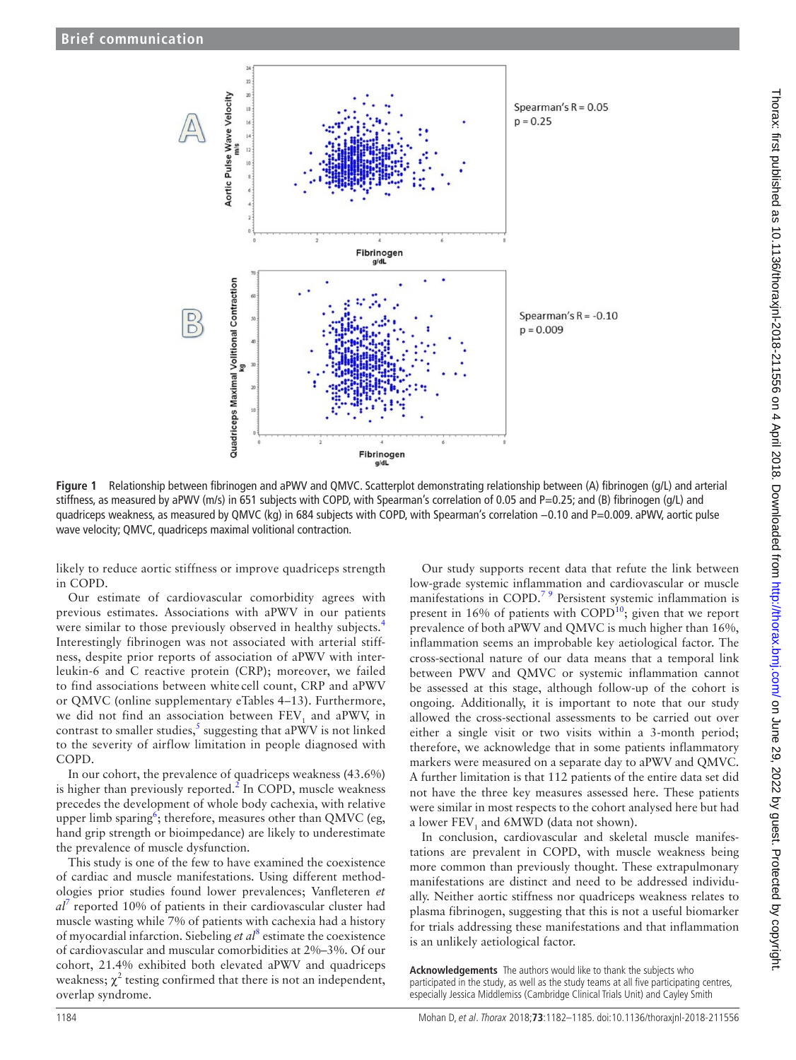

**Figure 1** Relationship between fibrinogen and aPWV and QMVC. Scatterplot demonstrating relationship between (A) fibrinogen (g/L) and arterial stiffness, as measured by aPWV (m/s) in 651 subjects with COPD, with Spearman's correlation of 0.05 and P=0.25; and (B) fibrinogen (g/L) and quadriceps weakness, as measured by QMVC (kg) in 684 subjects with COPD, with Spearman's correlation −0.10 and P=0.009. aPWV, aortic pulse wave velocity; QMVC, quadriceps maximal volitional contraction.

likely to reduce aortic stiffness or improve quadriceps strength in COPD.

Our estimate of cardiovascular comorbidity agrees with previous estimates. Associations with aPWV in our patients were similar to those previously observed in healthy subjects.<sup>[4](#page-3-2)</sup> Interestingly fibrinogen was not associated with arterial stiffness, despite prior reports of association of aPWV with interleukin-6 and C reactive protein (CRP); moreover, we failed to find associations between white cell count, CRP and aPWV or QMVC (online [supplementary eTables 4–13\)](https://dx.doi.org/10.1136/thoraxjnl-2018-211556). Furthermore, we did not find an association between  $\text{FEV}_1$  and aPWV, in contrast to smaller studies,<sup>[5](#page-3-4)</sup> suggesting that aPWV is not linked to the severity of airflow limitation in people diagnosed with COPD.

In our cohort, the prevalence of quadriceps weakness (43.6%) is higher than previously reported. $^{2}$  $^{2}$  $^{2}$  In COPD, muscle weakness precedes the development of whole body cachexia, with relative upper limb sparing<sup>[6](#page-3-5)</sup>; therefore, measures other than QMVC (eg, hand grip strength or bioimpedance) are likely to underestimate the prevalence of muscle dysfunction.

This study is one of the few to have examined the coexistence of cardiac and muscle manifestations. Using different methodologies prior studies found lower prevalences; Vanfleteren *et al*[7](#page-3-6) reported 10% of patients in their cardiovascular cluster had muscle wasting while 7% of patients with cachexia had a history of myocardial infarction. Siebeling *et al*[8](#page-3-7) estimate the coexistence of cardiovascular and muscular comorbidities at 2%–3%. Of our cohort, 21.4% exhibited both elevated aPWV and quadriceps weakness;  $\chi^2$  testing confirmed that there is not an independent, overlap syndrome.

<span id="page-2-0"></span>Our study supports recent data that refute the link between low-grade systemic inflammation and cardiovascular or muscle manifestations in COPD.<sup>79</sup> Persistent systemic inflammation is present in 16% of patients with COPD<sup>10</sup>; given that we report prevalence of both aPWV and QMVC is much higher than 16%, inflammation seems an improbable key aetiological factor. The cross-sectional nature of our data means that a temporal link between PWV and QMVC or systemic inflammation cannot be assessed at this stage, although follow-up of the cohort is ongoing. Additionally, it is important to note that our study allowed the cross-sectional assessments to be carried out over either a single visit or two visits within a 3-month period; therefore, we acknowledge that in some patients inflammatory markers were measured on a separate day to aPWV and QMVC. A further limitation is that 112 patients of the entire data set did not have the three key measures assessed here. These patients were similar in most respects to the cohort analysed here but had a lower  $\text{FEV}_1$  and 6MWD (data not shown).

In conclusion, cardiovascular and skeletal muscle manifestations are prevalent in COPD, with muscle weakness being more common than previously thought. These extrapulmonary manifestations are distinct and need to be addressed individually. Neither aortic stiffness nor quadriceps weakness relates to plasma fibrinogen, suggesting that this is not a useful biomarker for trials addressing these manifestations and that inflammation is an unlikely aetiological factor.

**Acknowledgements** The authors would like to thank the subjects who participated in the study, as well as the study teams at all five participating centres, especially Jessica Middlemiss (Cambridge Clinical Trials Unit) and Cayley Smith